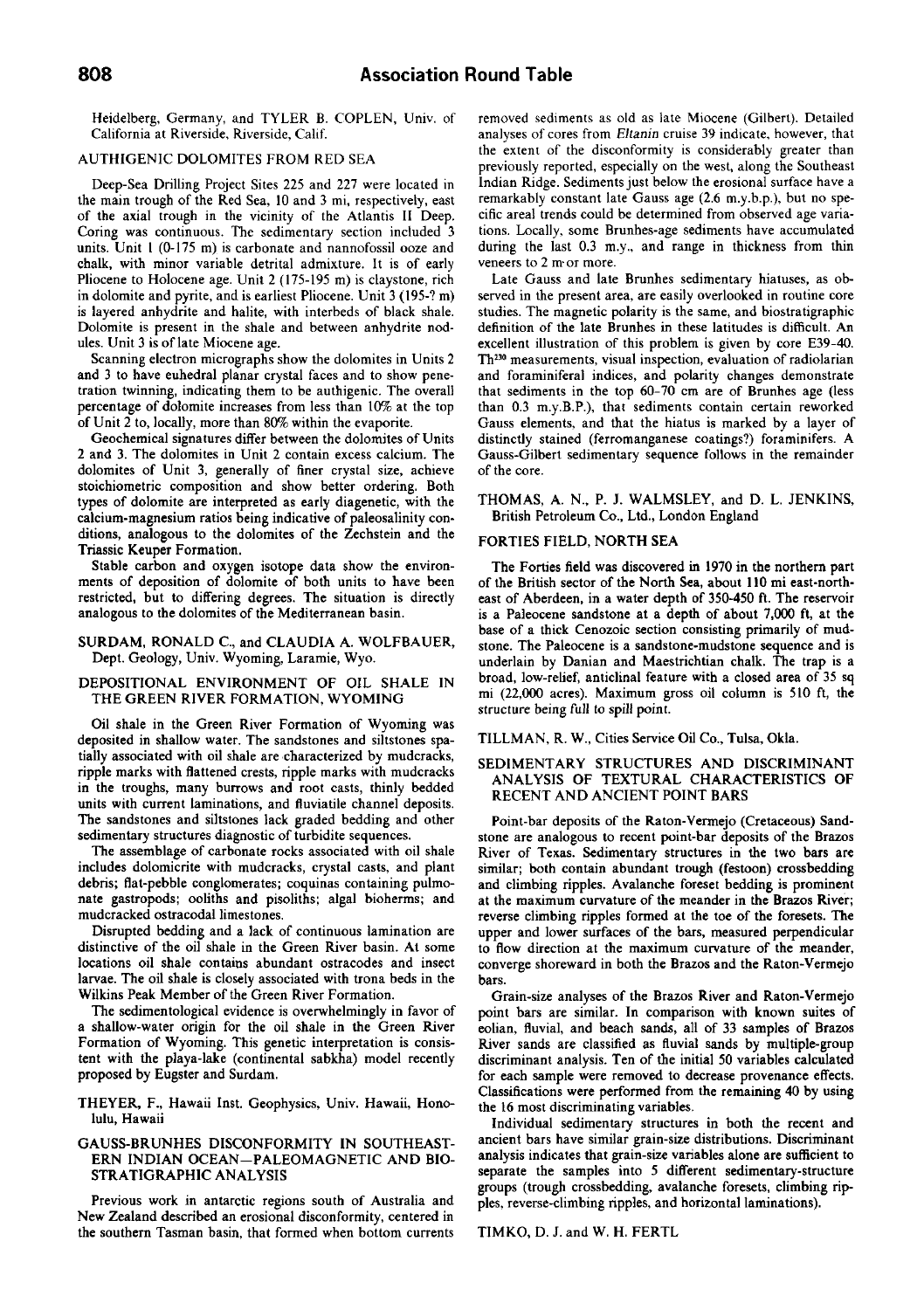Heidelberg, Germany, and TYLER B. COPLEN, Univ. of California at Riverside, Riverside, Calif

# AUTHIGENIC DOLOMITES FROM RED SEA

Deep-Sea Drilling Project Sites 225 and 227 were located in the main trough of the Red Sea, 10 and 3 mi, respectively, east of the axial trough in the vicinity of the Atlantis II Deep. Coring was continuous. The sedimentary section included 3 units. Unit I (0-175 m) is carbonate and nannofossil ooze and chalk, with minor variable detrital admixture. It is of early Pliocene to Holocene age. Unit 2 (175-195 m) is claystone, rich in dolomite and pyrite, and is earliest Pliocene. Unit 3 (195-? m) is layered anhydrite and halite, with interbeds of black shale. Dolomite is present in the shale and between anhydrite nodules. Unit 3 is of late Miocene age.

Scanning electron micrographs show the dolomites in Units 2 and 3 to have euhedral planar crystal faces and to show penetration twinning, indicating them to be authigenic. The overall percentage of dolomite increases from less than 10% at the top of Unit 2 to, locally, more than 80% within the evaporite.

Geochemical signatures differ between the dolomites of Units 2 and 3. The dolomites in Unit 2 contain excess calcium. The dolomites of Unit 3, generally of finer crystal size, achieve stoichiometric composition and show better ordering. Both types of dolomite are interpreted as early diagenetic, with the calcium-magnesium ratios being indicative of paleosalinity conditions, analogous to the dolomites of the Zechstein and the Triassic Keuper Formation.

Stable carbon and oxygen isotope data show the environments of deposition of dolomite of both units to have been restricted, but to differing degrees. The situation is directly analogous to the dolomites of the Mediterranean basin.

#### SURDAM, RONALD C, and CLAUDIA A. WOLFBAUER, Dept. Geology, Univ. Wyoming, Laramie, Wyo.

## DEPOSITIONAL ENVIRONMENT OF OIL SHALE IN THE GREEN RIVER FORMATION, WYOMING

Oil shale in the Green River Formation of Wyoming was deposited in shallow water. The sandstones and siltstones spatially associated with oil shale are characterized by mudcracks, ripple marks with flattened crests, ripple marks with mudcracks in the troughs, many burrows and root casts, thinly bedded units with current laminations, and fluviatile channel deposits. The sandstones and siltstones lack graded bedding and other sedimentary structures diagnostic of turbidite sequences.

The assemblage of carbonate rocks associated with oil shale includes dolomicrite with mudcracks, crystal casts, and plant debris; flat-pebble conglomerates; coquinas containing pulmonate gastropods; ooliths and pisoliths; algal bioherms; and mudcracked ostracodal limestones.

Disrupted bedding and a lack of continuous lamination are distinctive of the oil shale in the Green River basin. At some locations oil shale contains abundant ostracodes and insect larvae. The oil shale is closely associated with trona beds in the Wilkins Peak Member of the Green River Formation.

The sedimentological evidence is overwhelmingly in favor of a shallow-water origin for the oil shale in the Green River Formation of Wyoming. This genetic interpretation is consistent with the playa-lake (continental sabkha) model recently proposed by Eugster and Surdam.

THEYER, F., Hawaii Inst. Geophysics, Univ. Hawaii, Honolulu, Hawaii

#### GAUSS-BRUNHES DISCONFORMITY IN SOUTHEAST-ERN INDIAN OCEAN-PALEOMAGNETIC AND BIO-STRATIGRAPHIC ANALYSIS

Previous work in antarctic regions south of Australia and New Zealand described an erosional disconformity, centered in the southern Tasman basin, that formed when bottom currents removed sediments as old as late Miocene (Gilbert). Detailed analyses of cores from *Eltanin* cruise 39 indicate, however, that the extent of the disconformity is considerably greater than previously reported, especially on the west, along the Southeast Indian Ridge. Sediments just below the erosional surface have a remarkably constant late Gauss age (2.6 m.y.b.p.), but no specific areal trends could be determined from observed age variations. Locally, some Brunhes-age sediments have accumulated during the last 0.3 m.y., and range in thickness from thin veneers to 2 m or more.

Late Gauss and late Brunhes sedimentary hiatuses, as observed in the present area, are easily overlooked in routine core studies. The magnetic polarity is the same, and biostratigraphic definition of the late Brunhes in these latitudes is difficult. An excellent illustration of this problem is given by core E39-40. Th<sup>230</sup> measurements, visual inspection, evaluation of radiolarian and foraminiferal indices, and polarity changes demonstrate that sediments in the top 60-70 cm are of Brunhes age (less than 0.3 m.y.B.P.), that sediments contain certain reworked Gauss elements, and that the hiatus is marked by a layer of distinctly stained (ferromanganese coatings?) foraminifers. A Gauss-Gilbert sedimentary sequence follows in the remainder of the core.

THOMAS, A. N., P. J. WALMSLEY, and D. L. JENKINS, British Petroleum Co., Ltd., London England

#### FORTIES FIELD, NORTH SEA

The Forties field was discovered in 1970 in the northern part of the British sector of the North Sea, about 110 mi east-northeast of Aberdeen, in a water depth of 350-450 ft. The reservoir is a Paleocene sandstone at a depth of about 7,000 ft, at the base of a thick Cenozoic section consisting primarily of mudstone. The Paleocene is a sandstone-mudstone sequence and is underlain by Danian and Maestrichtian chalk. The trap is a broad, low-relief, anticlinal feature with a closed area of 35 sq mi (22,000 acres). Maximum gross oil column is 510 ft, the structure being full to spill point.

TILLMAN, R. W., Cities Service Oil Co., Tulsa, Okla.

## SEDIMENTARY STRUCTURES AND DISCRIMINANT ANALYSIS OF TEXTURAL CHARACTERISTICS OF RECENT AND ANCIENT POINT BARS

Point-bar deposits of the Raton-Yermejo (Cretaceous) Sandstone are analogous to recent point-bar deposits of the Brazos River of Texas. Sedimentary structures in the two bars are similar; both contain abundant trough (festoon) crossbedding and climbing ripples. Avalanche foreset bedding is prominent at the maximum curvature of the meander in the Brazos River; reverse climbing ripples formed at the toe of the foresets. The upper and lower surfaces of the bars, measured perpendicular to flow direction at the maximum curvature of the meander, converge shoreward in both the Brazos and the Raton-Vermejo bars.

Grain-size analyses of the Brazos River and Raton-Vermejo point bars are similar. In comparison with known suites of eolian, fluvial, and beach sands, all of 33 samples of Brazos River sands are classified as fiuvial sands by multiple-group discriminant analysis. Ten of the initial 50 variables calculated for each sample were removed to decrease provenance effects. Classifications were performed from the remaining 40 by using the 16 most discriminating variables.

Individual sedimentary structures in both the recent and ancient bars have similar grain-size distributions. Discriminant analysis indicates that grain-size variables alone are sufficient to separate the samples into 5 different sedimentary-structure groups (trough crossbedding, avalanche foresets, climbing ripples, reverse-climbing ripples, and horizontal laminations).

#### TIMKO, D. J. and W. H. FERTL